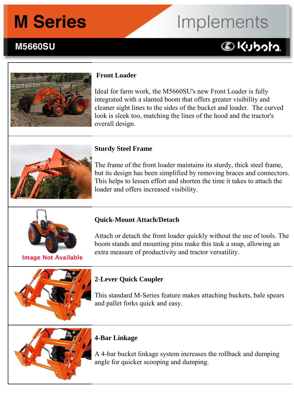## **M Series**

# Implements

**DKIJbota** 

### **M5660SU**



### **Front Loader**

Ideal for farm work, the M5660SU's new Front Loader is fully integrated with a slanted boom that offers greater visibility and cleaner sight lines to the sides of the bucket and loader. The curved look is sleek too, matching the lines of the hood and the tractor's overall design.



### **Sturdy Steel Frame**

The frame of the front loader maintains its sturdy, thick steel frame, but its design has been simplified by removing braces and connectors. This helps to lessen effort and shorten the time it takes to attach the loader and offers increased visibility.



#### **Image Not Available**

### **Quick-Mount Attach/Detach**

Attach or detach the front loader quickly without the use of tools. The boom stands and mounting pins make this task a snap, allowing an extra measure of productivity and tractor versatility.

### **2-Lever Quick Coupler**

This standard M-Series feature makes attaching buckets, bale spears and pallet forks quick and easy.



### **4-Bar Linkage**

A 4-bar bucket linkage system increases the rollback and dumping angle for quicker scooping and dumping.